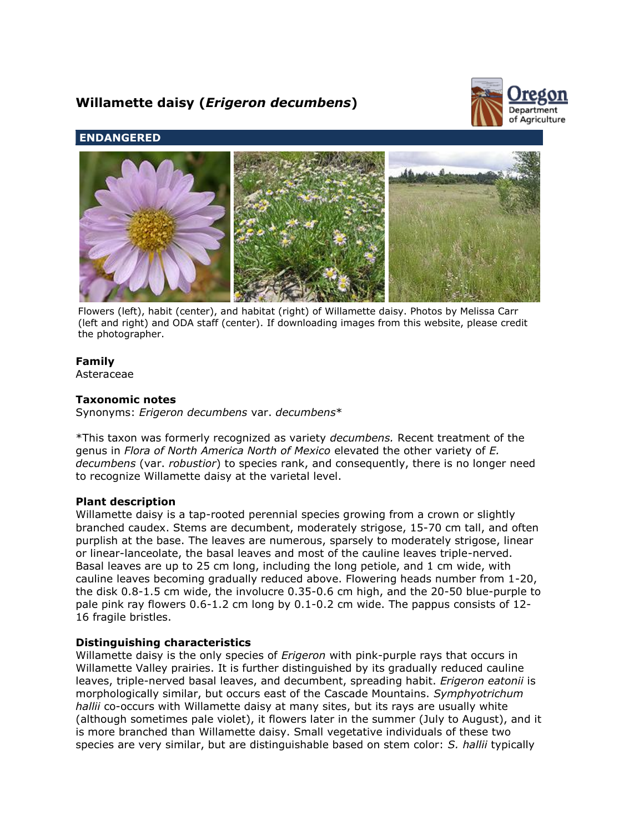# **Willamette daisy (***Erigeron decumbens***)**



# **ENDANGERED**



Flowers (left), habit (center), and habitat (right) of Willamette daisy. Photos by Melissa Carr (left and right) and ODA staff (center). If downloading images from this website, please credit the photographer.

# **Family**

Asteraceae

# **Taxonomic notes**

Synonyms: *Erigeron decumbens* var. *decumbens*\*

\*This taxon was formerly recognized as variety *decumbens.* Recent treatment of the genus in *Flora of North America North of Mexico* elevated the other variety of *E. decumbens* (var. *robustior*) to species rank, and consequently, there is no longer need to recognize Willamette daisy at the varietal level.

# **Plant description**

Willamette daisy is a tap-rooted perennial species growing from a crown or slightly branched caudex. Stems are decumbent, moderately strigose, 15-70 cm tall, and often purplish at the base. The leaves are numerous, sparsely to moderately strigose, linear or linear-lanceolate, the basal leaves and most of the cauline leaves triple-nerved. Basal leaves are up to 25 cm long, including the long petiole, and 1 cm wide, with cauline leaves becoming gradually reduced above. Flowering heads number from 1-20, the disk 0.8-1.5 cm wide, the involucre 0.35-0.6 cm high, and the 20-50 blue-purple to pale pink ray flowers 0.6-1.2 cm long by 0.1-0.2 cm wide. The pappus consists of 12- 16 fragile bristles.

# **Distinguishing characteristics**

Willamette daisy is the only species of *Erigeron* with pink-purple rays that occurs in Willamette Valley prairies. It is further distinguished by its gradually reduced cauline leaves, triple-nerved basal leaves, and decumbent, spreading habit. *Erigeron eatonii* is morphologically similar, but occurs east of the Cascade Mountains. *Symphyotrichum hallii* co-occurs with Willamette daisy at many sites, but its rays are usually white (although sometimes pale violet), it flowers later in the summer (July to August), and it is more branched than Willamette daisy. Small vegetative individuals of these two species are very similar, but are distinguishable based on stem color: *S. hallii* typically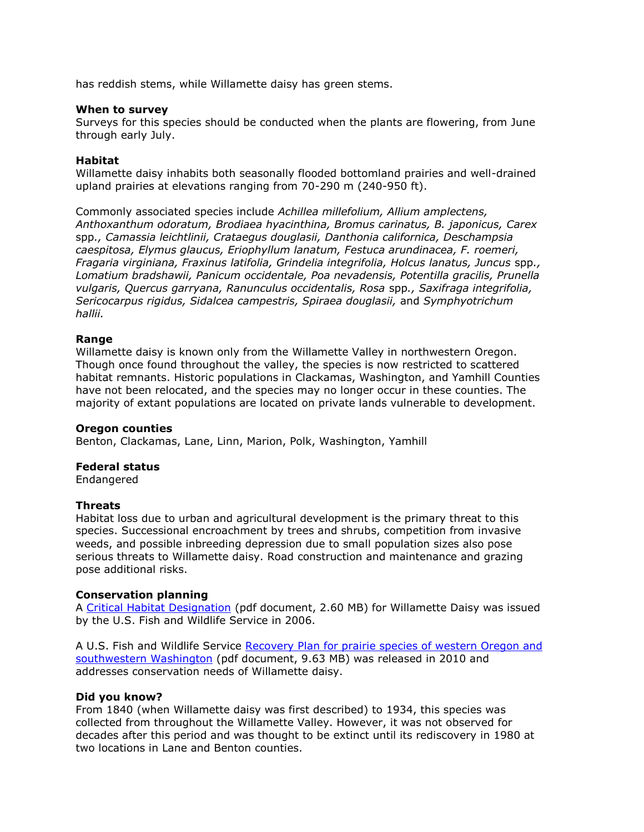has reddish stems, while Willamette daisy has green stems.

## **When to survey**

Surveys for this species should be conducted when the plants are flowering, from June through early July.

## **Habitat**

Willamette daisy inhabits both seasonally flooded bottomland prairies and well-drained upland prairies at elevations ranging from 70-290 m (240-950 ft).

Commonly associated species include *Achillea millefolium, Allium amplectens, Anthoxanthum odoratum, Brodiaea hyacinthina, Bromus carinatus, B. japonicus, Carex* spp*., Camassia leichtlinii, Crataegus douglasii, Danthonia californica, Deschampsia caespitosa, Elymus glaucus, Eriophyllum lanatum, Festuca arundinacea, F. roemeri, Fragaria virginiana, Fraxinus latifolia, Grindelia integrifolia, Holcus lanatus, Juncus* spp*., Lomatium bradshawii, Panicum occidentale, Poa nevadensis, Potentilla gracilis, Prunella vulgaris, Quercus garryana, Ranunculus occidentalis, Rosa* spp*., Saxifraga integrifolia, Sericocarpus rigidus, Sidalcea campestris, Spiraea douglasii,* and *Symphyotrichum hallii.*

## **Range**

Willamette daisy is known only from the Willamette Valley in northwestern Oregon. Though once found throughout the valley, the species is now restricted to scattered habitat remnants. Historic populations in Clackamas, Washington, and Yamhill Counties have not been relocated, and the species may no longer occur in these counties. The majority of extant populations are located on private lands vulnerable to development.

## **Oregon counties**

Benton, Clackamas, Lane, Linn, Marion, Polk, Washington, Yamhill

## **Federal status**

Endangered

## **Threats**

Habitat loss due to urban and agricultural development is the primary threat to this species. Successional encroachment by trees and shrubs, competition from invasive weeds, and possible inbreeding depression due to small population sizes also pose serious threats to Willamette daisy. Road construction and maintenance and grazing pose additional risks.

# **Conservation planning**

A [Critical Habitat Designation](http://www.fws.gov/oregonfwo/Species/PrairieSpecies/Documents/FR2006Oct31WVCHFinal.pdf) (pdf document, 2.60 MB) for Willamette Daisy was issued by the U.S. Fish and Wildlife Service in 2006.

A U.S. Fish and Wildlife Service Recovery Plan for prairie species of western Oregon and [southwestern Washington](http://ecos.fws.gov/docs/recovery_plan/100629.pdf) (pdf document, 9.63 MB) was released in 2010 and addresses conservation needs of Willamette daisy.

## **Did you know?**

From 1840 (when Willamette daisy was first described) to 1934, this species was collected from throughout the Willamette Valley. However, it was not observed for decades after this period and was thought to be extinct until its rediscovery in 1980 at two locations in Lane and Benton counties.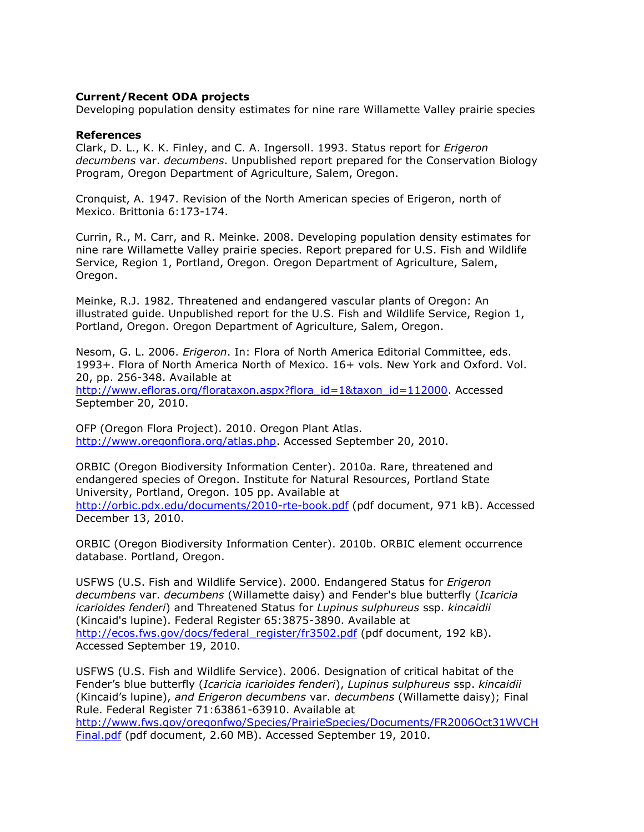# **Current/Recent ODA projects**

Developing population density estimates for nine rare Willamette Valley prairie species

#### **References**

Clark, D. L., K. K. Finley, and C. A. Ingersoll. 1993. Status report for *Erigeron decumbens* var. *decumbens*. Unpublished report prepared for the Conservation Biology Program, Oregon Department of Agriculture, Salem, Oregon.

Cronquist, A. 1947. Revision of the North American species of Erigeron, north of Mexico. Brittonia 6:173-174.

Currin, R., M. Carr, and R. Meinke. 2008. Developing population density estimates for nine rare Willamette Valley prairie species. Report prepared for U.S. Fish and Wildlife Service, Region 1, Portland, Oregon. Oregon Department of Agriculture, Salem, Oregon.

Meinke, R.J. 1982. Threatened and endangered vascular plants of Oregon: An illustrated guide. Unpublished report for the U.S. Fish and Wildlife Service, Region 1, Portland, Oregon. Oregon Department of Agriculture, Salem, Oregon.

Nesom, G. L. 2006. *Erigeron*. In: Flora of North America Editorial Committee, eds. 1993+. Flora of North America North of Mexico. 16+ vols. New York and Oxford. Vol. 20, pp. 256-348. Available at

[http://www.efloras.org/florataxon.aspx?flora\\_id=1&taxon\\_id=112000.](http://www.efloras.org/florataxon.aspx?flora_id=1&taxon_id=112000) Accessed September 20, 2010.

OFP (Oregon Flora Project). 2010. Oregon Plant Atlas. [http://www.oregonflora.org/atlas.php.](http://www.oregonflora.org/atlas.php) Accessed September 20, 2010.

ORBIC (Oregon Biodiversity Information Center). 2010a. Rare, threatened and endangered species of Oregon. Institute for Natural Resources, Portland State University, Portland, Oregon. 105 pp. Available at <http://orbic.pdx.edu/documents/2010-rte-book.pdf> (pdf document, 971 kB). Accessed December 13, 2010.

ORBIC (Oregon Biodiversity Information Center). 2010b. ORBIC element occurrence database. Portland, Oregon.

USFWS (U.S. Fish and Wildlife Service). 2000. Endangered Status for *Erigeron decumbens* var. *decumbens* (Willamette daisy) and Fender's blue butterfly (*Icaricia icarioides fenderi*) and Threatened Status for *Lupinus sulphureus* ssp. *kincaidii* (Kincaid's lupine). Federal Register 65:3875-3890. Available at [http://ecos.fws.gov/docs/federal\\_register/fr3502.pdf](http://ecos.fws.gov/docs/federal_register/fr3502.pdf) (pdf document, 192 kB). Accessed September 19, 2010.

USFWS (U.S. Fish and Wildlife Service). 2006. Designation of critical habitat of the Fender's blue butterfly (*Icaricia icarioides fenderi*), *Lupinus sulphureus* ssp. *kincaidii* (Kincaid's lupine), *and Erigeron decumbens* var. *decumbens* (Willamette daisy); Final Rule. Federal Register 71:63861-63910. Available at [http://www.fws.gov/oregonfwo/Species/PrairieSpecies/Documents/FR2006Oct31WVCH](http://www.fws.gov/oregonfwo/Species/PrairieSpecies/Documents/FR2006Oct31WVCHFinal.pdf)

[Final.pdf](http://www.fws.gov/oregonfwo/Species/PrairieSpecies/Documents/FR2006Oct31WVCHFinal.pdf) (pdf document, 2.60 MB). Accessed September 19, 2010.